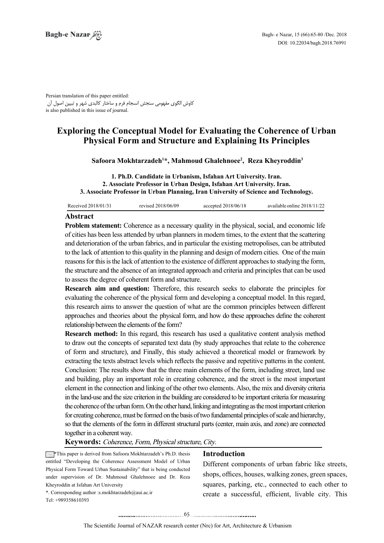Persian translation of this paper entitled: کاوش الگوی مفهومی سنجش انسجام فرم و ساختار کالبدی شهر و تبیین اصول آن is also published in this issue of journal.

# **Exploring the Conceptual Model for Evaluating the Coherence of Urban Physical Form and Structure and Explaining Its Principles**

Safoora Mokhtarzadeh<sup>1\*</sup>, Mahmoud Ghalehnoee<sup>2</sup>, Reza Kheyroddin<sup>3</sup>

1. Ph.D. Candidate in Urbanism, Isfahan Art University. Iran. 2. Associate Professor in Urban Design, Isfahan Art University. Iran. 3. Associate Professor in Urban Planning, Iran University of Science and Technology.

| Received 2018/01/31 | revised 2018/06/09 | accepted $2018/06/18$ | available online 2018/11/22 |
|---------------------|--------------------|-----------------------|-----------------------------|
|---------------------|--------------------|-----------------------|-----------------------------|

#### **Abstract**

Problem statement: Coherence as a necessary quality in the physical, social, and economic life of cities has been less attended by urban planners in modern times, to the extent that the scattering and deterioration of the urban fabrics, and in particular the existing metropolises, can be attributed to the lack of attention to this quality in the planning and design of modern cities. One of the main reasons for this is the lack of attention to the existence of different approaches to studying the form, the structure and the absence of an integrated approach and criteria and principles that can be used to assess the degree of coherent form and structure.

**Research aim and question:** Therefore, this research seeks to elaborate the principles for evaluating the coherence of the physical form and developing a conceptual model. In this regard, this research aims to answer the question of what are the common principles between different approaches and theories about the physical form, and how do these approaches define the coherent relationship between the elements of the form?

**Research method:** In this regard, this research has used a qualitative content analysis method to draw out the concepts of separated text data (by study approaches that relate to the coherence of form and structure), and Finally, this study achieved a theoretical model or framework by extracting the texts abstract levels which reflects the passive and repetitive patterns in the content. Conclusion: The results show that the three main elements of the form, including street, land use and building, play an important role in creating coherence, and the street is the most important element in the connection and linking of the other two elements. Also, the mix and diversity criteria in the land-use and the size criterion in the building are considered to be important criteria for measuring the coherence of the urban form. On the other hand, linking and integrating as the most important criterion for creating coherence, must be formed on the basis of two fundamental principles of scale and hierarchy, so that the elements of the form in different structural parts (center, main axis, and zone) are connected together in a coherent way.

Keywords: Coherence, Form, Physical structure, City.

 $\blacktriangleright$  \*This paper is derived from Safoora Mokhtarzadeh's Ph.D. thesis entitled "Developing the Coherence Assessment Model of Urban Physical Form Toward Urban Sustainability" that is being conducted under supervision of Dr. Mahmoud Ghalehnoee and Dr. Reza Kheyroddin at Isfahan Art University

\*. Corresponding author :s. mokhtarzadeh@aui.ac.ir

 $Tel \pm 989358610393$ 

#### **Introduction**

Different components of urban fabric like streets, shops, offices, houses, walking zones, green spaces, squares, parking, etc., connected to each other to create a successful, efficient, livable city. This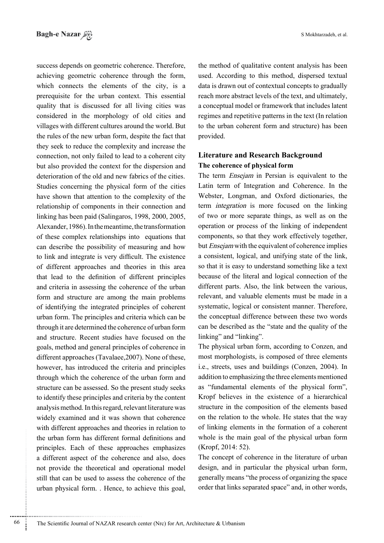success depends on geometric coherence. Therefore, achieving geometric coherence through the form, which connects the elements of the city, is a prerequisite for the urban context. This essential quality that is discussed for all living cities was considered in the morphology of old cities and villages with different cultures around the world. But the rules of the new urban form, despite the fact that they seek to reduce the complexity and increase the connection, not only failed to lead to a coherent city but also provided the context for the dispersion and deterioration of the old and new fabrics of the cities. Studies concerning the physical form of the cities have shown that attention to the complexity of the relationship of components in their connection and linking has been paid (Salingaros, 1998,  $2000$ ,  $2005$ , Alexander, 1986). In the meantime, the transformation of these complex relationships into equations that can describe the possibility of measuring and how to link and integrate is very difficult. The existence of different approaches and theories in this area that lead to the definition of different principles and criteria in assessing the coherence of the urban form and structure are among the main problems of identifying the integrated principles of coherent urban form. The principles and criteria which can be. through it are determined the coherence of urban form and structure. Recent studies have focused on the goals, method and general principles of coherence in different approaches (Tavalaee,  $2007$ ). None of these, however, has introduced the criteria and principles through which the coherence of the urban form and structure can be assessed. So the present study seeks to identify these principles and criteria by the content analysis method. In this regard, relevant literature was widely examined and it was shown that coherence with different approaches and theories in relation to the urban form has different formal definitions and principles. Each of these approaches emphasizes a different aspect of the coherence and also, does not provide the theoretical and operational model still that can be used to assess the coherence of the urban physical form. . Hence, to achieve this goal,

the method of qualitative content analysis has been used. According to this method, dispersed textual data is drawn out of contextual concepts to gradually reach more abstract levels of the text, and ultimately, a conceptual model or framework that includes latent regimes and repetitive patterns in the text (In relation to the urban coherent form and structure) has been provided.

## **Literature and Research Background The coherence of physical form**

The term *Ensejam* in Persian is equivalent to the Latin term of Integration and Coherence. In the Webster, Longman, and Oxford dictionaries, the term *integration* is more focused on the linking of two or more separate things, as well as on the operation or process of the linking of independent components, so that they work effectively together, but *Ensejam* with the equivalent of coherence implies a consistent, logical, and unifying state of the link, so that it is easy to understand something like a text because of the literal and logical connection of the different parts. Also, the link between the various, relevant, and valuable elements must be made in a systematic, logical or consistent manner. Therefore, the conceptual difference between these two words can be described as the "state and the quality of the linking" and "linking".

The physical urban form, according to Conzen, and most morphologists, is composed of three elements i.e., streets, uses and buildings (Conzen, 2004). In addition to emphasizing the three elements mentioned as "fundamental elements of the physical form". Kropf believes in the existence of a hierarchical structure in the composition of the elements based on the relation to the whole. He states that the way of linking elements in the formation of a coherent whole is the main goal of the physical urban form  $(Kropf, 2014: 52)$ .

The concept of coherence in the literature of urban design, and in particular the physical urban form, generally means "the process of organizing the space" order that links separated space" and, in other words,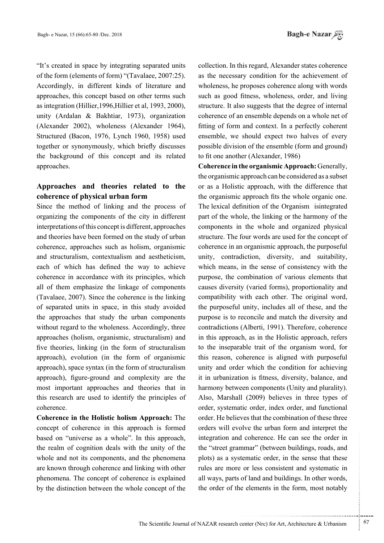"It's created in space by integrating separated units of the form (elements of form) "(Tavalaee,  $2007:25$ ). Accordingly, in different kinds of literature and approaches, this concept based on other terms such as integration (Hillier, 1996, Hillier et al. 1993, 2000), unity (Ardalan & Bakhtiar, 1973), organization  $(Alexander 2002)$ , wholeness  $(Alexander 1964)$ , Structured (Bacon, 1976, Lynch 1960, 1958) used together or synonymously, which briefly discusses the background of this concept and its related .approaches

# Approaches and theories related to the **formal coherence** of physical urban form

Since the method of linking and the process of organizing the components of the city in different interpretations of this concept is different, approaches and theories have been formed on the study of urban coherence, approaches such as holism, organismic and structuralism, contextualism and aestheticism, each of which has defined the way to achieve coherence in accordance with its principles, which all of them emphasize the linkage of components (Tavalaee,  $2007$ ). Since the coherence is the linking of separated units in space, in this study avoided the approaches that study the urban components without regard to the wholeness. Accordingly, three approaches (holism, organismic, structuralism) and five theories, linking (in the form of structuralism approach), evolution (in the form of organismic approach), space syntax (in the form of structuralism approach), figure-ground and complexity are the most important approaches and theories that in this research are used to identify the principles of .coherence

**Coherence in the Holistic holism Approach:** The concept of coherence in this approach is formed based on "universe as a whole". In this approach, the realm of cognition deals with the unity of the whole and not its components, and the phenomena are known through coherence and linking with other phenomena. The concept of coherence is explained by the distinction between the whole concept of the

collection. In this regard, Alexander states coherence as the necessary condition for the achievement of wholeness, he proposes coherence along with words such as good fitness, wholeness, order, and living structure. It also suggests that the degree of internal coherence of an ensemble depends on a whole net of fitting of form and context. In a perfectly coherent ensemble, we should expect two halves of every possible division of the ensemble (form and ground) to fit one another (Alexander, 1986)

**Coherence in the organismic Approach: Generally,** the organismic approach can be considered as a subset or as a Holistic approach, with the difference that the organismic approach fits the whole organic one. The lexical definition of the Organism is integrated part of the whole, the linking or the harmony of the components in the whole and organized physical structure. The four words are used for the concept of coherence in an organismic approach, the purposeful unity, contradiction, diversity, and suitability, which means, in the sense of consistency with the purpose, the combination of various elements that causes diversity (varied forms), proportionality and compatibility with each other. The original word, the purposeful unity, includes all of these, and the purpose is to reconcile and match the diversity and contradictions (Alberti, 1991). Therefore, coherence in this approach, as in the Holistic approach, refers to the inseparable trait of the organism word, for this reason, coherence is aligned with purposeful unity and order which the condition for achieving it in urbanization is fitness, diversity, balance, and harmony between components (Unity and plurality). Also, Marshall (2009) believes in three types of order, systematic order, index order, and functional order. He believes that the combination of these three orders will evolve the urban form and interpret the integration and coherence. He can see the order in the "street grammar" (between buildings, roads, and plots) as a systematic order, in the sense that these rules are more or less consistent and systematic in all ways, parts of land and buildings. In other words, the order of the elements in the form, most notably

...........................................................

.......... ....... ........ ........... ...... ....... ........ .......... ...........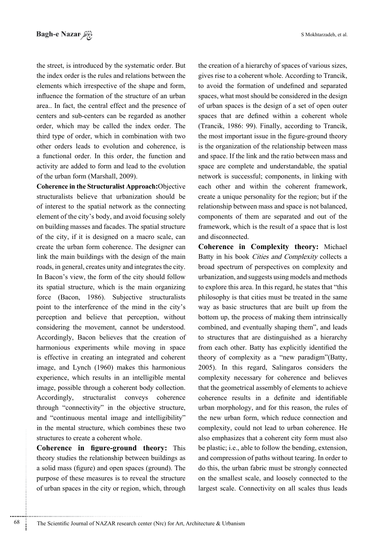the street, is introduced by the systematic order. But the index order is the rules and relations between the elements which irrespective of the shape and form, influence the formation of the structure of an urban area.. In fact, the central effect and the presence of centers and sub-centers can be regarded as another order, which may be called the index order. The third type of order, which in combination with two other orders leads to evolution and coherence, is a functional order. In this order, the function and activity are added to form and lead to the evolution of the urban form (Marshall, 2009).

Coherence in the Structuralist Approach: Objective structuralists believe that urbanization should be of interest to the spatial network as the connecting element of the city's body, and avoid focusing solely on building masses and facades. The spatial structure of the city, if it is designed on a macro scale, can create the urban form coherence. The designer can link the main buildings with the design of the main roads, in general, creates unity and integrates the city. In Bacon's view, the form of the city should follow its spatial structure, which is the main organizing force (Bacon, 1986). Subjective structuralists point to the interference of the mind in the city's perception and believe that perception, without considering the movement, cannot be understood. Accordingly, Bacon believes that the creation of harmonious experiments while moving in space is effective in creating an integrated and coherent image, and Lynch (1960) makes this harmonious experience, which results in an intelligible mental image, possible through a coherent body collection. Accordingly, structuralist conveys coherence through "connectivity" in the objective structure, and "continuous mental image and intelligibility" in the mental structure, which combines these two structures to create a coherent whole.

**Coherence** in figure-ground theory: This theory studies the relationship between buildings as a solid mass (figure) and open spaces (ground). The purpose of these measures is to reveal the structure of urban spaces in the city or region, which, through the creation of a hierarchy of spaces of various sizes, gives rise to a coherent whole. According to Trancik, to avoid the formation of undefined and separated spaces, what most should be considered in the design of urban spaces is the design of a set of open outer spaces that are defined within a coherent whole (Trancik, 1986: 99). Finally, according to Trancik, the most important issue in the figure-ground theory is the organization of the relationship between mass and space. If the link and the ratio between mass and space are complete and understandable, the spatial network is successful; components, in linking with each other and within the coherent framework, create a unique personality for the region; but if the relationship between mass and space is not balanced, components of them are separated and out of the framework, which is the result of a space that is lost and disconnected.

**Coherence in Complexity theory:** Michael Batty in his book Cities and Complexity collects a broad spectrum of perspectives on complexity and urbanization, and suggests using models and methods to explore this area. In this regard, he states that "this philosophy is that cities must be treated in the same way as basic structures that are built up from the bottom up, the process of making them intrinsically combined, and eventually shaping them", and leads to structures that are distinguished as a hierarchy from each other. Batty has explicitly identified the theory of complexity as a "new paradigm"(Batty, 2005). In this regard, Salingaros considers the complexity necessary for coherence and believes that the geometrical assembly of elements to achieve coherence results in a definite and identifiable urban morphology, and for this reason, the rules of the new urban form, which reduce connection and complexity, could not lead to urban coherence. He also emphasizes that a coherent city form must also be plastic; i.e., able to follow the bending, extension, and compression of paths without tearing. In order to do this, the urban fabric must be strongly connected on the smallest scale, and loosely connected to the largest scale. Connectivity on all scales thus leads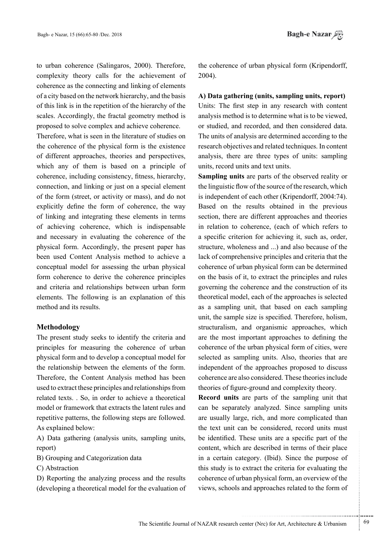to urban coherence (Salingaros, 2000). Therefore, complexity theory calls for the achievement of coherence as the connecting and linking of elements of a city based on the network hierarchy, and the basis of this link is in the repetition of the hierarchy of the scales. Accordingly, the fractal geometry method is proposed to solve complex and achieve coherence.

Therefore, what is seen in the literature of studies on the coherence of the physical form is the existence of different approaches, theories and perspectives, which any of them is based on a principle of coherence, including consistency, fitness, hierarchy, connection, and linking or just on a special element of the form (street, or activity or mass), and do not explicitly define the form of coherence, the way of linking and integrating these elements in terms of achieving coherence, which is indispensable and necessary in evaluating the coherence of the physical form. Accordingly, the present paper has been used Content Analysis method to achieve a conceptual model for assessing the urban physical form coherence to derive the coherence principles and criteria and relationships between urban form elements. The following is an explanation of this method and its results.

#### **Methodology**

The present study seeks to identify the criteria and principles for measuring the coherence of urban physical form and to develop a conceptual model for the relationship between the elements of the form. Therefore, the Content Analysis method has been used to extract these principles and relationships from related texts. . So, in order to achieve a theoretical model or framework that extracts the latent rules and repetitive patterns, the following steps are followed. As explained below:

A) Data gathering (analysis units, sampling units, report)

B) Grouping and Categorization data

C) Abstraction

D) Reporting the analyzing process and the results (developing a theoretical model for the evaluation of the coherence of urban physical form (Kripendorff, 2004).

**(A)** Data gathering (units, sampling units, report) Units: The first step in any research with content analysis method is to determine what is to be viewed, or studied, and recorded, and then considered data. The units of analysis are determined according to the research objectives and related techniques. In content analysis, there are three types of units: sampling units, record units and text units.

**Sampling units** are parts of the observed reality or the linguistic flow of the source of the research, which is independent of each other (Kripendorff, 2004:74). Based on the results obtained in the previous section, there are different approaches and theories in relation to coherence, (each of which refers to a specific criterion for achieving it, such as, order, structure, wholeness and ...) and also because of the lack of comprehensive principles and criteria that the coherence of urban physical form can be determined on the basis of it, to extract the principles and rules governing the coherence and the construction of its theoretical model, each of the approaches is selected as a sampling unit, that based on each sampling unit, the sample size is specified. Therefore, holism, structuralism, and organismic approaches, which are the most important approaches to defining the coherence of the urban physical form of cities, were selected as sampling units. Also, theories that are independent of the approaches proposed to discuss coherence are also considered. These theories include theories of figure-ground and complexity theory.

**Record units** are parts of the sampling unit that can be separately analyzed. Since sampling units are usually large, rich, and more complicated than the text unit can be considered, record units must be identified. These units are a specific part of the content, which are described in terms of their place in a certain category. (Ibid). Since the purpose of this study is to extract the criteria for evaluating the coherence of urban physical form, an overview of the views, schools and approaches related to the form of

.......... ....... ........ ........... ...... ....... ........ .......... ...........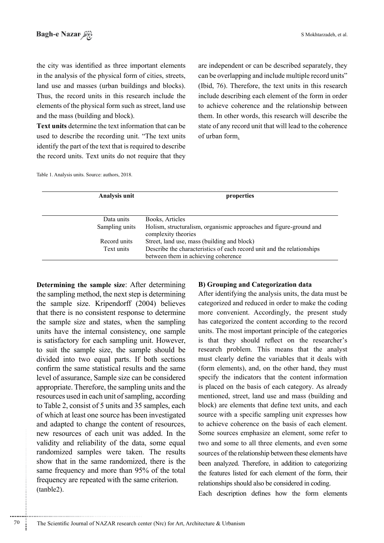the city was identified as three important elements in the analysis of the physical form of cities, streets, land use and masses (urban buildings and blocks). Thus, the record units in this research include the elements of the physical form such as street, land use and the mass (building and block).

**Text units determine the text information that can be** used to describe the recording unit. "The text units identify the part of the text that is required to describe the record units. Text units do not require that they are independent or can be described separately, they can be overlapping and include multiple record units" (Ibid,  $76$ ). Therefore, the text units in this research include describing each element of the form in order to achieve coherence and the relationship between them. In other words, this research will describe the state of any record unit that will lead to the coherence of urban form.

Table 1. Analysis units. Source: authors, 2018.

| Analysis unit  | properties                                                                                                    |  |  |  |
|----------------|---------------------------------------------------------------------------------------------------------------|--|--|--|
|                |                                                                                                               |  |  |  |
| Data units     | Books, Articles                                                                                               |  |  |  |
| Sampling units | Holism, structuralism, organismic approaches and figure-ground and<br>complexity theories                     |  |  |  |
| Record units   | Street, land use, mass (building and block)                                                                   |  |  |  |
| Text units     | Describe the characteristics of each record unit and the relationships<br>between them in achieving coherence |  |  |  |

Determining the sample size: After determining the sampling method, the next step is determining the sample size. Kripendorff  $(2004)$  believes that there is no consistent response to determine the sample size and states, when the sampling units have the internal consistency, one sample is satisfactory for each sampling unit. However, to suit the sample size, the sample should be divided into two equal parts. If both sections confirm the same statistical results and the same level of assurance. Sample size can be considered appropriate. Therefore, the sampling units and the resources used in each unit of sampling, according to Table 2, consist of 5 units and 35 samples, each of which at least one source has been investigated and adapted to change the content of resources, new resources of each unit was added. In the validity and reliability of the data, some equal randomized samples were taken. The results show that in the same randomized, there is the same frequency and more than 95% of the total frequency are repeated with the same criterion.  $(tanble2)$ .

............................................................

#### **B**) Grouping and Categorization data

After identifying the analysis units, the data must be categorized and reduced in order to make the coding more convenient. Accordingly, the present study has categorized the content according to the record units. The most important principle of the categories is that they should reflect on the researcher's research problem. This means that the analyst must clearly define the variables that it deals with (form elements), and, on the other hand, they must specify the indicators that the content information is placed on the basis of each category. As already mentioned, street, land use and mass (building and block) are elements that define text units, and each source with a specific sampling unit expresses how to achieve coherence on the basis of each element. Some sources emphasize an element, some refer to two and some to all three elements, and even some sources of the relationship between these elements have been analyzed. Therefore, in addition to categorizing the features listed for each element of the form, their relationships should also be considered in coding.

Each description defines how the form elements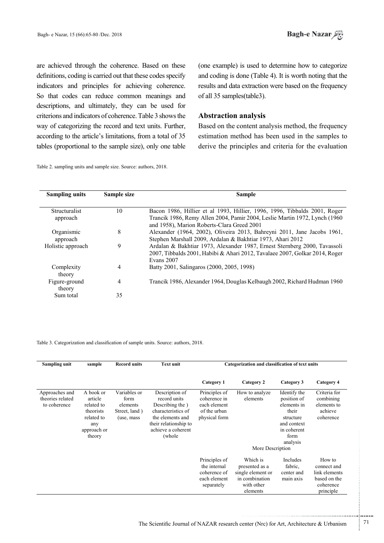are achieved through the coherence. Based on these definitions, coding is carried out that these codes specify indicators and principles for achieving coherence. So that codes can reduce common meanings and descriptions, and ultimately, they can be used for criterions and indicators of coherence. Table 3 shows the way of categorizing the record and text units. Further, according to the article's limitations, from a total of 35 tables (proportional to the sample size), only one table

Table 2. sampling units and sample size. Source: authors, 2018.

(one example) is used to determine how to categorize and coding is done (Table 4). It is worth noting that the results and data extraction were based on the frequency of all 35 samples (table 3).

### **Abstraction** analysis

Based on the content analysis method, the frequency estimation method has been used in the samples to derive the principles and criteria for the evaluation

| <b>Sampling units</b> | Sample size | <b>Sample</b>                                                               |
|-----------------------|-------------|-----------------------------------------------------------------------------|
|                       |             |                                                                             |
| <b>Structuralist</b>  | 10          | Bacon 1986, Hillier et al 1993, Hillier, 1996, 1996, Tibbalds 2001, Roger   |
| approach              |             | Trancik 1986, Remy Allen 2004, Pamir 2004, Leslie Martin 1972, Lynch (1960  |
|                       |             | and 1958), Marion Roberts-Clara Greed 2001                                  |
| Organismic            | 8           | Alexander (1964, 2002), Oliveira 2013, Bahreyni 2011, Jane Jacobs 1961,     |
| approach              |             | Stephen Marshall 2009, Ardalan & Bakhtiar 1973, Ahari 2012                  |
| Holistic approach     | 9           | Ardalan & Bakhtiar 1973, Alexander 1987, Ernest Sternberg 2000, Tavassoli   |
|                       |             | 2007, Tibbalds 2001, Habibi & Ahari 2012, Tavalaee 2007, Golkar 2014, Roger |
|                       |             | Evans 2007                                                                  |
| Complexity            |             | Batty 2001, Salingaros (2000, 2005, 1998)                                   |
| theory                |             |                                                                             |
| Figure-ground         | 4           | Trancik 1986, Alexander 1964, Douglas Kelbaugh 2002, Richard Hudman 1960    |
| theory                |             |                                                                             |
| Sum total             | 35          |                                                                             |
|                       |             |                                                                             |

Table 3. Categorization and classification of sample units. Source: authors, 2018.

| Sampling unit                                      | sample                                                                                        | <b>Record units</b>                                              | <b>Text unit</b>                                                                                                                                       | Categorization and classification of text units                                |                                                                                             |                                                                                                                    |                                                                                  |  |
|----------------------------------------------------|-----------------------------------------------------------------------------------------------|------------------------------------------------------------------|--------------------------------------------------------------------------------------------------------------------------------------------------------|--------------------------------------------------------------------------------|---------------------------------------------------------------------------------------------|--------------------------------------------------------------------------------------------------------------------|----------------------------------------------------------------------------------|--|
|                                                    |                                                                                               |                                                                  |                                                                                                                                                        | Category 1                                                                     | Category 2                                                                                  | Category 3                                                                                                         | Category 4                                                                       |  |
| Approaches and<br>theories related<br>to coherence | A book or<br>article<br>related to<br>theorists<br>related to<br>any<br>approach or<br>theory | Variables or<br>form<br>elements<br>Street, land)<br>(use, mass) | Description of<br>record units<br>Describing the )<br>characteristics of<br>the elements and<br>their relationship to<br>achieve a coherent<br>(whole) | Principles of<br>coherence in<br>each element<br>of the urban<br>physical form | How to analyze<br>elements                                                                  | Identify the<br>position of<br>elements in<br>their<br>structure<br>and context<br>in coherent<br>form<br>analysis | Criteria for<br>combining<br>elements to<br>achieve<br>coherence                 |  |
|                                                    |                                                                                               |                                                                  |                                                                                                                                                        |                                                                                | More Description                                                                            |                                                                                                                    |                                                                                  |  |
|                                                    |                                                                                               |                                                                  |                                                                                                                                                        | Principles of<br>the internal<br>coherence of<br>each element<br>separately    | Which is<br>presented as a<br>single element or<br>in combination<br>with other<br>elements | <b>Includes</b><br>fabric,<br>center and<br>main axis                                                              | How to<br>connect and<br>link elements<br>based on the<br>coherence<br>principle |  |

...........................................................

.......... ....... ........ ........... ...... ....... ........ .......... ...........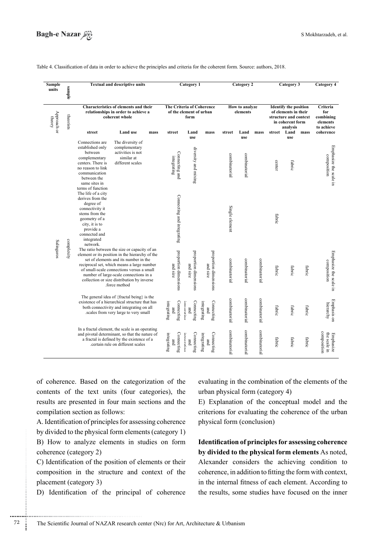

Table 4. Classification of data in order to achieve the principles and criteria for the coherent form. Source: authors, 2018.

| <b>Sample</b><br>units             | sample     |                                                                                                                                                                                     | <b>Textual and descriptive units</b>                                                                                                                                                                                                                                                                                                         |                                                              |                                   | Category 1                        |                                   |                                                                                                   | Category 2    |                                                        |        | Category 3              |        | Category 4                               |
|------------------------------------|------------|-------------------------------------------------------------------------------------------------------------------------------------------------------------------------------------|----------------------------------------------------------------------------------------------------------------------------------------------------------------------------------------------------------------------------------------------------------------------------------------------------------------------------------------------|--------------------------------------------------------------|-----------------------------------|-----------------------------------|-----------------------------------|---------------------------------------------------------------------------------------------------|---------------|--------------------------------------------------------|--------|-------------------------|--------|------------------------------------------|
| Approach or<br>theorists<br>theory |            | Characteristics of elements and their<br>relationships in order to achieve a<br>coherent whole                                                                                      |                                                                                                                                                                                                                                                                                                                                              | The Criteria of Coherence<br>of the element of urban<br>form |                                   | How to analyze<br>elements        |                                   | <b>Identify the position</b><br>of elements in their<br>structure and context<br>in coherent form |               | Criteria<br>for<br>combining<br>elements<br>to achieve |        |                         |        |                                          |
|                                    |            | street                                                                                                                                                                              | <b>Land use</b>                                                                                                                                                                                                                                                                                                                              | mass                                                         | street                            | Land<br>use                       | mass                              | street                                                                                            | Land<br>use   | mass                                                   | street | analysis<br>Land<br>use | mass   | coherence                                |
|                                    |            | Connections are<br>established only<br>between<br>complementary<br>centers. There is<br>no reason to link<br>communication<br>between the<br>same sites in<br>terms of function     | The diversity of<br>complementary<br>activities is not<br>similar at<br>different scales                                                                                                                                                                                                                                                     |                                                              | Connecting and<br>integrating     | diversity and mixing              |                                   | combinatorial                                                                                     | combinatorial |                                                        | center | fabric                  |        | Emphasize the scale in<br>composition    |
|                                    |            | The life of a city<br>derives from the<br>degree of<br>connectivity it<br>stems from the<br>geometry of a<br>city, it is to<br>provide a<br>connected and<br>integrated<br>network. |                                                                                                                                                                                                                                                                                                                                              |                                                              | Connecting and integrating        |                                   |                                   | Single element                                                                                    |               |                                                        | fabric |                         |        |                                          |
| Salingaros                         | complexity |                                                                                                                                                                                     | The ratio between the size or capacity of an<br>element or its position in the hierarchy of the<br>set of elements and its number in the<br>reciprocal set, which means a large number<br>of small-scale connections versus a small<br>number of large-scale connections in a<br>collection or size distribution by inverse<br>force method. |                                                              | proportion dimensions<br>and size | proportion dimensions<br>and size | proportion dimensions<br>and size | combinatorial                                                                                     | combinatorial | combinatorial                                          | fabric | fabric                  | fabric | Emphasize the scale in<br>composition    |
|                                    |            |                                                                                                                                                                                     | The general idea of {fractal being} is the<br>existence of a hierarchical structure that has<br>both connectivity and integrating on all<br>scales from very large to very small.                                                                                                                                                            |                                                              | Connecting<br>integrating<br>gmd  | Connecting<br>intamatina<br>gmd   | Connecting<br>integrating<br>pung | combinatorial                                                                                     | combinatorial | combinatorial                                          | fabric | fabric                  | fabric | Emphasis on<br>hierarchy                 |
|                                    |            |                                                                                                                                                                                     | In a fractal element, the scale is an operating<br>and pivotal determinant, so that the nature of<br>a fractal is defined by the existence of a<br>certain rule on different scales                                                                                                                                                          |                                                              | Connecting<br>integrating<br>gmd  | Connecting<br>interreting<br>and  | Connecting<br>integrating<br>pue  | combinatorial                                                                                     | combinatorial | combinatorial                                          | fabric | fabric                  | fabric | composition<br>the scale in<br>Emphasize |

of coherence. Based on the categorization of the contents of the text units (four categories), the results are presented in four main sections and the compilation section as follows:

A. Identification of principles for assessing coherence by divided to the physical form elements (category  $1$ ) B) How to analyze elements in studies on form coherence (category 2)

C) Identification of the position of elements or their composition in the structure and context of the placement (category 3)

............................................................

D) Identification of the principal of coherence

evaluating in the combination of the elements of the urban physical form (category  $4$ )

E) Explanation of the conceptual model and the criterions for evaluating the coherence of the urban physical form (conclusion)

**Identification of principles for assessing coherence** by divided to the physical form elements As noted, Alexander considers the achieving condition to coherence, in addition to fitting the form with context, in the internal fitness of each element. According to the results, some studies have focused on the inner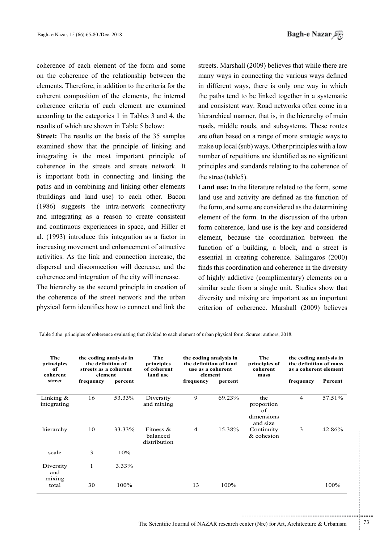coherence of each element of the form and some on the coherence of the relationship between the elements. Therefore, in addition to the criteria for the coherent composition of the elements, the internal coherence criteria of each element are examined according to the categories  $1$  in Tables  $3$  and  $4$ , the results of which are shown in Table 5 below:

**Street:** The results on the basis of the 35 samples examined show that the principle of linking and integrating is the most important principle of coherence in the streets and streets network. It is important both in connecting and linking the paths and in combining and linking other elements (buildings and land use) to each other. Bacon  $(1986)$  suggests the intra-network connectivity and integrating as a reason to create consistent and continuous experiences in space, and Hiller et al.  $(1993)$  introduce this integration as a factor in increasing movement and enhancement of attractive activities. As the link and connection increase, the dispersal and disconnection will decrease, and the coherence and integration of the city will increase.

The hierarchy as the second principle in creation of the coherence of the street network and the urban physical form identifies how to connect and link the streets. Marshall (2009) believes that while there are many ways in connecting the various ways defined in different ways, there is only one way in which the paths tend to be linked together in a systematic and consistent way. Road networks often come in a hierarchical manner, that is, in the hierarchy of main roads, middle roads, and subsystems. These routes are often based on a range of more strategic ways to make up local (sub) ways. Other principles with a low number of repetitions are identified as no significant principles and standards relating to the coherence of the street (table 5).

**Land use:** In the literature related to the form, some land use and activity are defined as the function of the form, and some are considered as the determining element of the form In the discussion of the urban form coherence, land use is the key and considered element, because the coordination between the function of a building, a block, and a street is  $essential$  in creating coherence. Salingaros  $(2000)$ finds this coordination and coherence in the diversity of highly addictive (complimentary) elements on a similar scale from a single unit. Studies show that diversity and mixing are important as an important criterion of coherence. Marshall (2009) believes

| The<br>principles<br>of<br>coherent |           | the coding analysis in<br>the definition of<br>streets as a coherent<br>element | The<br>principles<br>of coherent<br>land use | the coding analysis in<br>the definition of land<br>use as a coherent<br>element |         | The<br>principles of<br>coherent<br>mass          | the coding analysis in<br>the definition of mass<br>as a coherent element |         |  |
|-------------------------------------|-----------|---------------------------------------------------------------------------------|----------------------------------------------|----------------------------------------------------------------------------------|---------|---------------------------------------------------|---------------------------------------------------------------------------|---------|--|
| street                              | frequency | percent                                                                         |                                              | frequency                                                                        | percent |                                                   | frequency                                                                 | Percent |  |
| Linking $\&$<br>integrating         | 16        | 53.33%                                                                          | Diversity<br>and mixing                      | 9                                                                                | 69.23%  | the<br>proportion<br>of<br>dimensions<br>and size | $\overline{4}$                                                            | 57.51%  |  |
| hierarchy                           | 10        | 33.33%                                                                          | Fitness $\&$<br>balanced<br>distribution     | $\overline{4}$                                                                   | 15.38%  | Continuity<br>$&\circ$ cohesion                   | 3                                                                         | 42.86%  |  |
| scale                               | 3         | 10%                                                                             |                                              |                                                                                  |         |                                                   |                                                                           |         |  |
| Diversity<br>and                    | 1         | 3.33%                                                                           |                                              |                                                                                  |         |                                                   |                                                                           |         |  |
| mixing<br>total                     | 30        | 100%                                                                            |                                              | 13                                                                               | 100%    |                                                   |                                                                           | 100%    |  |

Table 5.the principles of coherence evaluating that divided to each element of urban physical form. Source: authors, 2018.

...........................................................

.......... ....... ........ ........... ...... ....... ........ .......... ...........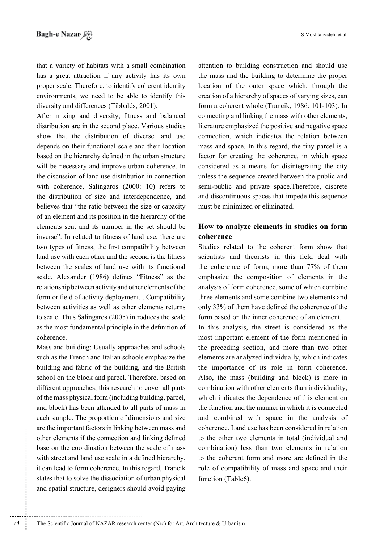that a variety of habitats with a small combination has a great attraction if any activity has its own proper scale. Therefore, to identify coherent identity environments, we need to be able to identify this

diversity and differences (Tibbalds, 2001). After mixing and diversity, fitness and balanced distribution are in the second place. Various studies show that the distribution of diverse land use depends on their functional scale and their location based on the hierarchy defined in the urban structure will be necessary and improve urban coherence. In the discussion of land use distribution in connection with coherence, Salingaros  $(2000: 10)$  refers to the distribution of size and interdependence, and believes that "the ratio between the size or capacity" of an element and its position in the hierarchy of the elements sent and its number in the set should be inverse". In related to fitness of land use, there are two types of fitness, the first compatibility between land use with each other and the second is the fitness between the scales of land use with its functional scale. Alexander (1986) defines "Fitness" as the relationship between activity and other elements of the form or field of activity deployment. . Compatibility between activities as well as other elements returns to scale. Thus Salingaros (2005) introduces the scale as the most fundamental principle in the definition of .coherence

Mass and building: Usually approaches and schools such as the French and Italian schools emphasize the building and fabric of the building, and the British school on the block and parcel. Therefore, based on different approaches, this research to cover all parts of the mass physical form (including building, parcel, and block) has been attended to all parts of mass in each sample. The proportion of dimensions and size are the important factors in linking between mass and other elements if the connection and linking defined base on the coordination between the scale of mass with street and land use scale in a defined hierarchy, it can lead to form coherence. In this regard, Trancik states that to solve the dissociation of urban physical and spatial structure, designers should avoid paying

............................................................

attention to building construction and should use the mass and the building to determine the proper location of the outer space which, through the creation of a hierarchy of spaces of varying sizes, can form a coherent whole (Trancik, 1986: 101-103). In connecting and linking the mass with other elements, literature emphasized the positive and negative space connection, which indicates the relation between mass and space. In this regard, the tiny parcel is a factor for creating the coherence, in which space considered as a means for disintegrating the city unless the sequence created between the public and semi-public and private space. Therefore, discrete and discontinuous spaces that impede this sequence must be minimized or eliminated.

## **How to analyze elements in studies on form coherence**

Studies related to the coherent form show that scientists and theorists in this field deal with the coherence of form, more than  $77%$  of them emphasize the composition of elements in the analysis of form coherence, some of which combine three elements and some combine two elements and only 33% of them have defined the coherence of the form based on the inner coherence of an element.

In this analysis, the street is considered as the most important element of the form mentioned in the preceding section, and more than two other elements are analyzed individually, which indicates the importance of its role in form coherence. Also, the mass (building and block) is more in combination with other elements than individuality, which indicates the dependence of this element on the function and the manner in which it is connected and combined with space in the analysis of coherence. Land use has been considered in relation to the other two elements in total (individual and combination) less than two elements in relation to the coherent form and more are defined in the role of compatibility of mass and space and their function (Table6).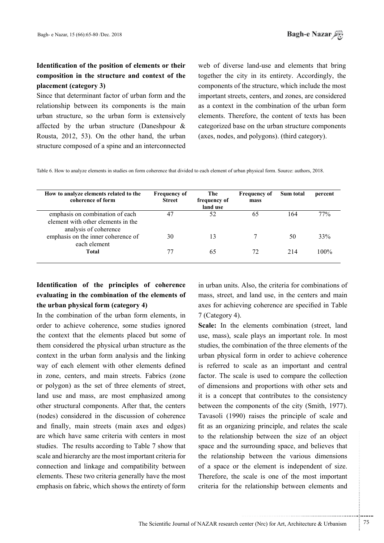# **Identification of the position of elements or their** composition in the structure and context of the placement (category 3)

Since that determinant factor of urban form and the relationship between its components is the main urban structure, so the urban form is extensively affected by the urban structure (Daneshpour  $\&$ Rousta, 2012, 53). On the other hand, the urban structure composed of a spine and an interconnected web of diverse land-use and elements that bring together the city in its entirety. Accordingly, the components of the structure, which include the most important streets, centers, and zones, are considered as a context in the combination of the urban form elements. Therefore, the content of texts has been categorized base on the urban structure components (axes, nodes, and polygons). (third category).

Table 6. How to analyze elements in studies on form coherence that divided to each element of urban physical form. Source: authors, 2018.

| How to analyze elements related to the<br>coherence of form                                    | <b>Frequency of</b><br><b>Street</b> | The<br>frequency of<br>land use | <b>Frequency of</b><br>mass | Sum total | percent |
|------------------------------------------------------------------------------------------------|--------------------------------------|---------------------------------|-----------------------------|-----------|---------|
| emphasis on combination of each<br>element with other elements in the<br>analysis of coherence | 47                                   | 52                              | 65                          | 164       | 77%     |
| emphasis on the inner coherence of<br>each element                                             | 30                                   |                                 |                             | 50        | 33%     |
| Total                                                                                          | 77                                   | 65                              | 72                          | 214       | $100\%$ |

# **Identification** of the principles of coherence evaluating in the combination of the elements of **the urban physical form (category 4)**

In the combination of the urban form elements, in order to achieve coherence, some studies ignored the context that the elements placed but some of them considered the physical urban structure as the context in the urban form analysis and the linking way of each element with other elements defined in zone, centers, and main streets. Fabrics (zone or polygon) as the set of three elements of street, land use and mass, are most emphasized among other structural components. After that, the centers (nodes) considered in the discussion of coherence and finally, main streets (main axes and edges) are which have same criteria with centers in most studies. The results according to Table 7 show that scale and hierarchy are the most important criteria for connection and linkage and compatibility between elements. These two criteria generally have the most emphasis on fabric, which shows the entirety of form in urban units. Also, the criteria for combinations of mass, street, and land use, in the centers and main axes for achieving coherence are specified in Table  $7$  (Category 4).

**Scale:** In the elements combination (street, land use, mass), scale plays an important role. In most studies, the combination of the three elements of the urban physical form in order to achieve coherence is referred to scale as an important and central factor. The scale is used to compare the collection of dimensions and proportions with other sets and it is a concept that contributes to the consistency between the components of the city (Smith, 1977). Tavasoli (1990) raises the principle of scale and fit as an organizing principle, and relates the scale to the relationship between the size of an object space and the surrounding space, and believes that the relationship between the various dimensions of a space or the element is independent of size. Therefore, the scale is one of the most important criteria for the relationship between elements and

.......... ....... ........ ........... ...... ....... ........ .......... ...........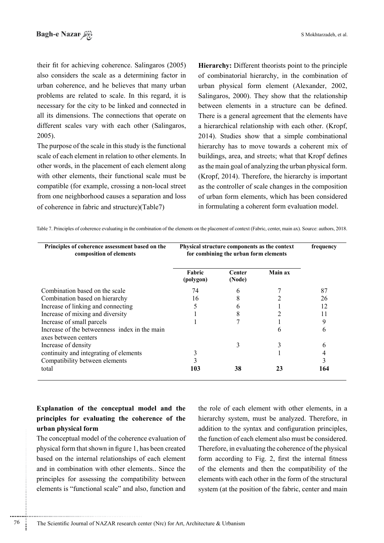their fit for achieving coherence. Salingaros (2005) also considers the scale as a determining factor in urban coherence, and he believes that many urban problems are related to scale. In this regard, it is necessary for the city to be linked and connected in all its dimensions. The connections that operate on different scales vary with each other (Salingaros,  $2005$ ).

The purpose of the scale in this study is the functional scale of each element in relation to other elements. In other words, in the placement of each element along with other elements, their functional scale must be compatible (for example, crossing a non-local street from one neighborhood causes a separation and loss of coherence in fabric and structure)(Table7)

Hierarchy: Different theorists point to the principle of combinatorial hierarchy, in the combination of urban physical form element (Alexander, 2002, Salingaros,  $2000$ . They show that the relationship between elements in a structure can be defined. There is a general agreement that the elements have a hierarchical relationship with each other. (Kropf, 2014). Studies show that a simple combinational hierarchy has to move towards a coherent mix of buildings, area, and streets; what that Kropf defines as the main goal of analyzing the urban physical form.  $(Kropf, 2014)$ . Therefore, the hierarchy is important as the controller of scale changes in the composition of urban form elements, which has been considered in formulating a coherent form evaluation model.

Table 7. Principles of coherence evaluating in the combination of the elements on the placement of context (Fabric, center, main ax). Source: authors, 2018.

| Principles of coherence assessment based on the<br>composition of elements | Physical structure components as the context<br>for combining the urban form elements | frequency        |         |     |
|----------------------------------------------------------------------------|---------------------------------------------------------------------------------------|------------------|---------|-----|
|                                                                            | Fabric<br>(polygon)                                                                   | Center<br>(Node) | Main ax |     |
| Combination based on the scale                                             | 74                                                                                    | 6                |         | 87  |
| Combination based on hierarchy                                             | 16                                                                                    | 8                |         | 26  |
| Increase of linking and connecting                                         | 5                                                                                     | b                |         | 12  |
| Increase of mixing and diversity                                           |                                                                                       | 8                |         |     |
| Increase of small parcels                                                  |                                                                                       |                  |         |     |
| Increase of the betweenness index in the main<br>axes between centers      |                                                                                       |                  | b       | 6   |
| Increase of density                                                        |                                                                                       | 3                |         | 6   |
| continuity and integrating of elements                                     |                                                                                       |                  |         |     |
| Compatibility between elements                                             |                                                                                       |                  |         |     |
| total                                                                      | 103                                                                                   | 38               |         | 164 |

# **Explanation** of the conceptual model and the principles for evaluating the coherence of the **urban** physical form

The conceptual model of the coherence evaluation of physical form that shown in figure 1, has been created based on the internal relationships of each element and in combination with other elements.. Since the principles for assessing the compatibility between elements is "functional scale" and also, function and

............................................................

the role of each element with other elements, in a hierarchy system, must be analyzed. Therefore, in addition to the syntax and configuration principles. the function of each element also must be considered. Therefore, in evaluating the coherence of the physical form according to Fig. 2, first the internal fitness of the elements and then the compatibility of the elements with each other in the form of the structural system (at the position of the fabric, center and main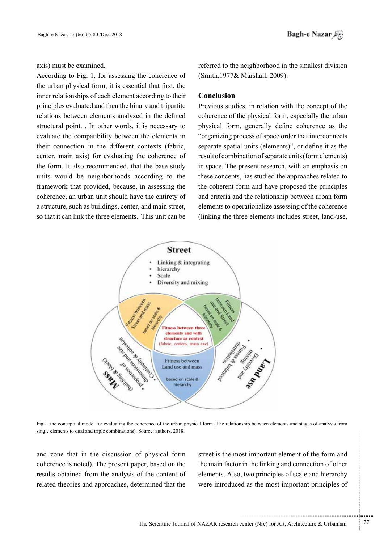axis) must be examined.

According to Fig. 1, for assessing the coherence of the urban physical form, it is essential that first, the inner relationships of each element according to their principles evaluated and then the binary and tripartite relations between elements analyzed in the defined structural point. . In other words, it is necessary to evaluate the compatibility between the elements in their connection in the different contexts (fabric, center, main axis) for evaluating the coherence of the form. It also recommended, that the base study units would be neighborhoods according to the framework that provided, because, in assessing the coherence, an urban unit should have the entirety of a structure, such as buildings, center, and main street, so that it can link the three elements. This unit can be

referred to the neighborhood in the smallest division  $(Smith.1977& Marshall. 2009).$ 

### **Conclusion**

Previous studies, in relation with the concept of the coherence of the physical form, especially the urban physical form, generally define coherence as the "organizing process of space order that interconnects" separate spatial units (elements)", or define it as the result of combination of separate units (form elements) in space. The present research, with an emphasis on these concepts, has studied the approaches related to the coherent form and have proposed the principles and criteria and the relationship between urban form elements to operationalize assessing of the coherence (linking the three elements includes street, land-use,



Fig.1. the conceptual model for evaluating the coherence of the urban physical form (The relationship between elements and stages of analysis from single elements to dual and triple combinations). Source: authors, 2018.

and zone that in the discussion of physical form coherence is noted). The present paper, based on the results obtained from the analysis of the content of related theories and approaches, determined that the

street is the most important element of the form and the main factor in the linking and connection of other elements. Also, two principles of scale and hierarchy were introduced as the most important principles of

.......... ....... ........ ........... ...... ....... ........ .......... ...........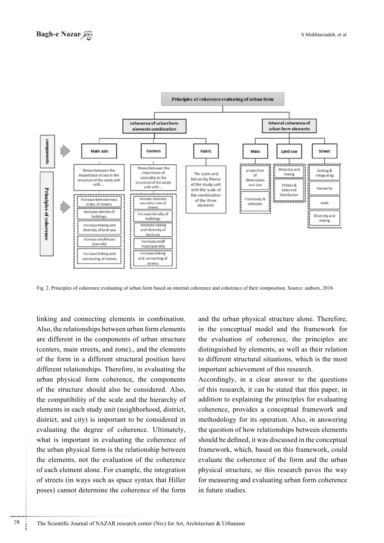

Fig. 2. Principles of coherence evaluating of urban form based on internal coherence and coherence of their composition. Source: authors. 2018.

linking and connecting elements in combination. Also, the relationships between urban form elements are different in the components of urban structure (centers, main streets, and zone)., and the elements of the form in a different structural position have different relationships. Therefore, in evaluating the urban physical form coherence, the components of the structure should also be considered. Also, the compatibility of the scale and the hierarchy of elements in each study unit (neighborhood, district, district, and city) is important to be considered in evaluating the degree of coherence. Ultimately, what is important in evaluating the coherence of the urban physical form is the relationship between the elements, not the evaluation of the coherence of each element alone. For example, the integration of streets (in ways such as space syntax that Hiller poses) cannot determine the coherence of the form

and the urban physical structure alone. Therefore, in the conceptual model and the framework for the evaluation of coherence, the principles are distinguished by elements, as well as their relation to different structural situations, which is the most important achievement of this research.

Accordingly, in a clear answer to the questions of this research, it can be stated that this paper, in addition to explaining the principles for evaluating coherence, provides a conceptual framework and methodology for its operation. Also, in answering the question of how relationships between elements should be defined, it was discussed in the conceptual framework, which, based on this framework, could evaluate the coherence of the form and the urban physical structure, so this research paves the way for measuring and evaluating urban form coherence in future studies.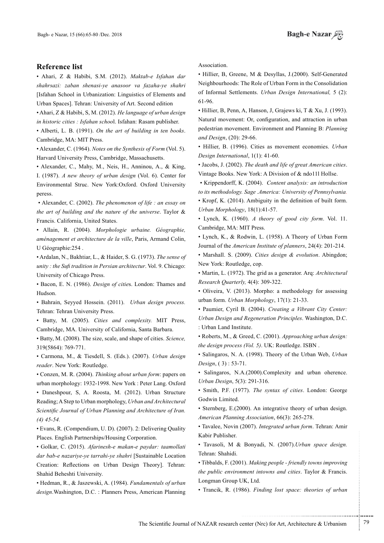#### **Reference** list

• Ahari, Z & Habibi, S.M. (2012). Maktab-e Isfahan dar shahrsazi: zaban shenasi-ye anasoor va fazaha-ye shahri [Isfahan School in Urbanization: Linguistics of Elements and Urban Spaces]. Tehran: University of Art. Second edition

• Ahari, *Z & Habibi, S, M. (2012). He language of urban design* in historic cities : Isfahan school. Isfahan: Rasam publisher.

• Alberti, L. B. (1991). On the art of building in ten books. Cambridge, MA: MIT Press.

• Alexander, C. (1964). *Notes on the Synthesis of Form* (Vol. 5). Harvard University Press, Cambridge, Massachusetts.

• Alexander, C., Mahy, M., Neis, H., Anninou, A., & King, I. (1987). A new theory of urban design (Vol. 6). Center for Environmental Struc. New York:Oxford. Oxford University peress.

• Alexander, C. (2002). *The phenomenon of life : an essay on* the art of building and the nature of the universe. Taylor & Francis. California, United States.

• Allain, R. (2004). Morphologie urbaine. Géographie, aménagement et architecture de la ville. Paris, Armand Colin. U Géographie:254.

• Ardalan, N., Bakhtiar, L., & Haider, S. G. (1973). The sense of unity: the Sufi tradition in Persian architectur. Vol. 9. Chicago: University of Chicago Press.

• Bacon, E. N. (1986). *Design of cities*. London: Thames and Hudson.

**• Bahrain, Seyyed Hossein.** (2011). *Urban design process.* Tehran: Tehran University Press.

• Batty, M. (2005). Cities and complexity. MIT Press, Cambridge, MA. University of California, Santa Barbara.

• Batty, M. (2008). The size, scale, and shape of cities. Science, 319(5864): 769-771.

• Carmona, M., & Tiesdell, S. (Eds.). (2007). *Urban design* reader. New York: Routledge.

• Conzen, M. R. (2004). Thinking about urban form: papers on urban morphology: 1932-1998. New York : Peter Lang. Oxford

• Daneshpour, S. A. Roosta, M. (2012). Urban Structure *Reading*; A Step to Urban morphology, Urban and Architectural *Scientific Journal of Urban Planning and Architecture of Iran. 45-54. (4)*

 $\bullet$  Evans, R. (Compendium, U. D). (2007). 2: Delivering Quality Places. English Partnerships/Housing Corporation.

• Golkar, C. (2015). Afarinesh-e makan-e paydar: taamollati dar bab-e nazariye-ye tarrahi-ye shahri [Sustainable Location Creation: Reflections on Urban Design Theory l. Tehran: Shahid Beheshti University.

• Hedman, R., & Jaszewski, A. (1984). *Fundamentals of urban* design. Washington, D.C.: Planners Press, American Planning Association.

• Hillier, B, Greene, M & Desyllas, J.(2000). Self-Generated Neighbourhoods: The Role of Urban Form in the Consolidation of Informal Settlements. *Urban Design International*, 5 (2): 61-96.

• Hillier, B. Penn, A. Hanson, J. Grajews ki, T & Xu, J. (1993). Natural movement: Or, configuration, and attraction in urban pedestrian movement. Environment and Planning B: Planning and Design, (20): 29-66.

• Hillier, B. (1996). Cities as movement economies. *Urban* Design International, 1(1): 41-60.

• Jacobs, J. (2002). The death and life of great American cities. Vintage Books. New York: A Division of  $&$  ndo 111 Hollse.

• Krippendorff, K. (2004). Content analysis: an introduction *to its methodology. Sage .America: University of Pennsylvania.* • Kropf, K. (2014). Ambiguity in the definition of built form. Urban Morphology, 18(1):41-57.

• Lynch, K. (1960). A theory of good city form. Vol. 11. Cambridge, MA: MIT Press.

• Lynch, K., & Rodwin, L. (1958). A Theory of Urban Form Journal of the *American Institute of planners*, 24(4): 201-214.

• Marshall. S. (2009). *Cities design & evolution*. Abingdon; New York: Routledge, cop.

• Martin, L. (1972). The grid as a generator. Arq: Architectural Research Quarterly, 4(4): 309-322.

• Oliveira, V. (2013). Morpho: a methodology for assessing urban form. *Urban Morphology*, 17(1): 21-33.

**· Paumier, Cyril B. (2004). Creating a Vibrant City Center:** Urban Design and Regeneration Principles. Washington, D.C. : Urban Land Institute.

• Roberts, M., & Greed, C. (2001). Approaching urban design: the design process (Vol. 5). UK: Routledge. ISBN .

• Salingaros, N. A. (1998). Theory of the Urban Web, Urban Design, (3): 53-71.

• Salingaros, N.A.(2000).Complexity and urban oherence. Urban Design, 5(3): 291-316.

• Smith, P.F. (1977). The syntax of cities. London: George Godwin Limited.

• Sternberg, E.(2000). An integrative theory of urban design. American Planning Association, 66(3): 265-278.

• Tavalee, Novin (2007). *Integrated urban form*. Tehran: Amir Kabir Publisher.

 $\bullet$  Tavasoli, M & Bonyadi, N. (2007). Urban space design. Tehran: Shahidi.

• Tibbalds, F. (2001). *Making people - friendly towns improving* the public environment intowns and cities. Taylor & Francis. Longman Group UK, Ltd.

• Trancik, R. (1986). Finding lost space: theories of urban

.......... ....... ........ ........... ...... ....... ........ .......... ...........